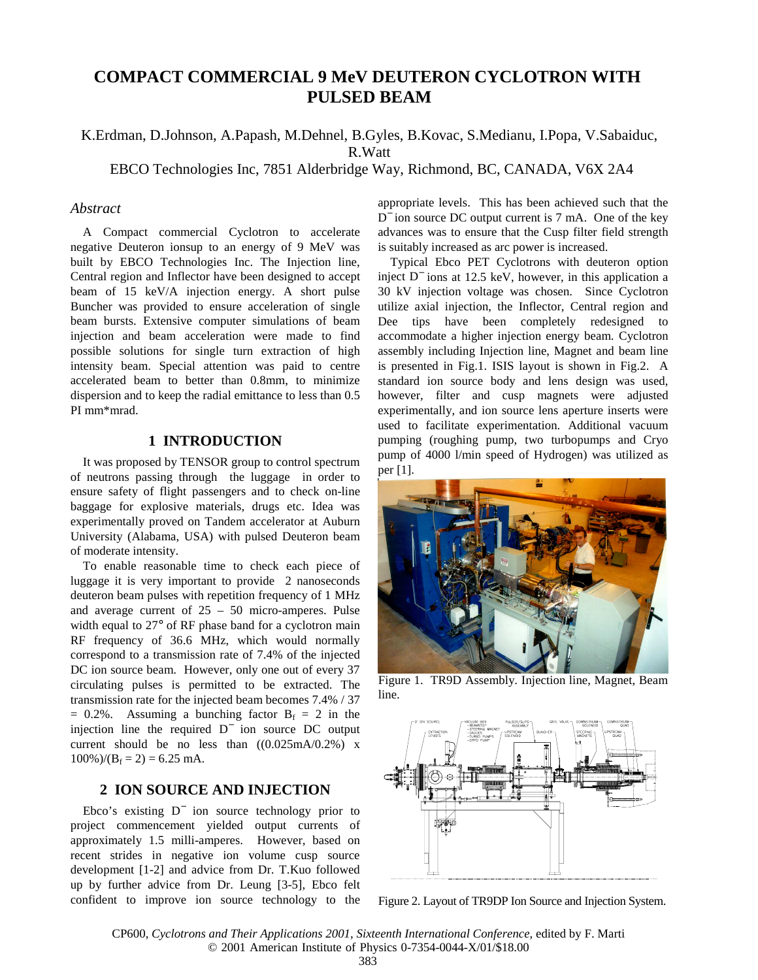# **COMPACT COMMERCIAL 9 MeV DEUTERON CYCLOTRON WITH PULSED BEAM**

## K.Erdman, D.Johnson, A.Papash, M.Dehnel, B.Gyles, B.Kovac, S.Medianu, I.Popa, V.Sabaiduc, R.Watt

EBCO Technologies Inc, 7851 Alderbridge Way, Richmond, BC, CANADA, V6X 2A4

#### *Abstract*

A Compact commercial Cyclotron to accelerate negative Deuteron ionsup to an energy of 9 MeV was built by EBCO Technologies Inc. The Injection line, Central region and Inflector have been designed to accept beam of 15 keV/A injection energy. A short pulse Buncher was provided to ensure acceleration of single beam bursts. Extensive computer simulations of beam injection and beam acceleration were made to find possible solutions for single turn extraction of high intensity beam. Special attention was paid to centre accelerated beam to better than 0.8mm, to minimize dispersion and to keep the radial emittance to less than 0.5 PI mm\*mrad.

## **1 INTRODUCTION**

It was proposed by TENSOR group to control spectrum of neutrons passing through the luggage in order to ensure safety of flight passengers and to check on-line baggage for explosive materials, drugs etc. Idea was experimentally proved on Tandem accelerator at Auburn University (Alabama, USA) with pulsed Deuteron beam of moderate intensity.

To enable reasonable time to check each piece of luggage it is very important to provide 2 nanoseconds deuteron beam pulses with repetition frequency of 1 MHz and average current of 25 – 50 micro-amperes. Pulse width equal to 27° of RF phase band for a cyclotron main RF frequency of 36.6 MHz, which would normally correspond to a transmission rate of 7.4% of the injected DC ion source beam. However, only one out of every 37 circulating pulses is permitted to be extracted. The transmission rate for the injected beam becomes 7.4% / 37  $= 0.2\%$ . Assuming a bunching factor  $B_f = 2$  in the injection line the required D<sup>−</sup> ion source DC output current should be no less than  $((0.025mA/0.2\%)$  x  $100\%$ )/(B<sub>f</sub> = 2) = 6.25 mA.

## **2 ION SOURCE AND INJECTION**

Ebco's existing D<sup>−</sup> ion source technology prior to project commencement yielded output currents of approximately 1.5 milli-amperes. However, based on recent strides in negative ion volume cusp source development [1-2] and advice from Dr. T.Kuo followed up by further advice from Dr. Leung [3-5], Ebco felt confident to improve ion source technology to the appropriate levels. This has been achieved such that the D<sup>−</sup> ion source DC output current is 7 mA. One of the key advances was to ensure that the Cusp filter field strength is suitably increased as arc power is increased.

Typical Ebco PET Cyclotrons with deuteron option inject D<sup>−</sup> ions at 12.5 keV, however, in this application a 30 kV injection voltage was chosen. Since Cyclotron utilize axial injection, the Inflector, Central region and Dee tips have been completely redesigned to accommodate a higher injection energy beam. Cyclotron assembly including Injection line, Magnet and beam line is presented in Fig.1. ISIS layout is shown in Fig.2. A standard ion source body and lens design was used, however, filter and cusp magnets were adjusted experimentally, and ion source lens aperture inserts were used to facilitate experimentation. Additional vacuum pumping (roughing pump, two turbopumps and Cryo pump of 4000 l/min speed of Hydrogen) was utilized as per [1].



Figure 1. TR9D Assembly. Injection line, Magnet, Beam line.



Figure 2. Layout of TR9DP Ion Source and Injection System.

CP600, *Cyclotrons and Their Applications 2001, Sixteenth International Conference,* edited by F. Marti © 2001 American Institute of Physics 0-7354-0044-X/01/\$18.00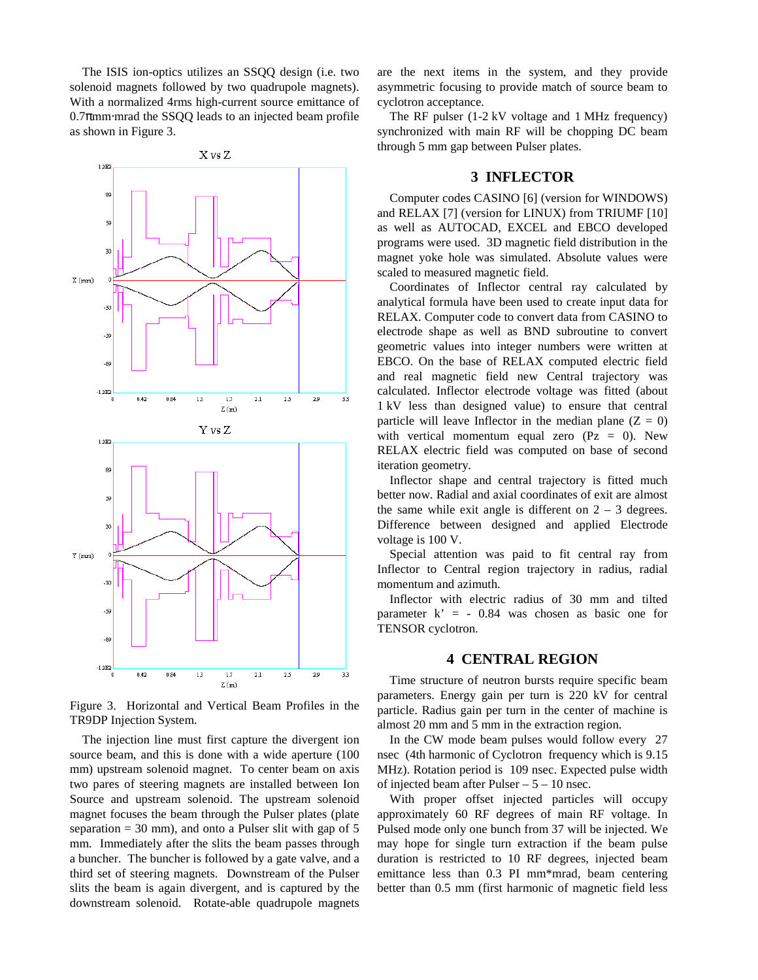The ISIS ion-optics utilizes an SSQQ design (i.e. two solenoid magnets followed by two quadrupole magnets). With a normalized 4rms high-current source emittance of  $0.7$  $\pi$ mm⋅mrad the SSQQ leads to an injected beam profile as shown in Figure 3.



Figure 3. Horizontal and Vertical Beam Profiles in the TR9DP Injection System.

The injection line must first capture the divergent ion source beam, and this is done with a wide aperture (100 mm) upstream solenoid magnet. To center beam on axis two pares of steering magnets are installed between Ion Source and upstream solenoid. The upstream solenoid magnet focuses the beam through the Pulser plates (plate separation  $= 30$  mm), and onto a Pulser slit with gap of 5 mm. Immediately after the slits the beam passes through a buncher. The buncher is followed by a gate valve, and a third set of steering magnets. Downstream of the Pulser slits the beam is again divergent, and is captured by the downstream solenoid. Rotate-able quadrupole magnets are the next items in the system, and they provide asymmetric focusing to provide match of source beam to cyclotron acceptance.

The RF pulser (1-2 kV voltage and 1 MHz frequency) synchronized with main RF will be chopping DC beam through 5 mm gap between Pulser plates.

### **3 INFLECTOR**

Computer codes CASINO [6] (version for WINDOWS) and RELAX [7] (version for LINUX) from TRIUMF [10] as well as AUTOCAD, EXCEL and EBCO developed programs were used. 3D magnetic field distribution in the magnet yoke hole was simulated. Absolute values were scaled to measured magnetic field.

Coordinates of Inflector central ray calculated by analytical formula have been used to create input data for RELAX. Computer code to convert data from CASINO to electrode shape as well as BND subroutine to convert geometric values into integer numbers were written at EBCO. On the base of RELAX computed electric field and real magnetic field new Central trajectory was calculated. Inflector electrode voltage was fitted (about 1 kV less than designed value) to ensure that central particle will leave Inflector in the median plane  $(Z = 0)$ with vertical momentum equal zero ( $Pz = 0$ ). New RELAX electric field was computed on base of second iteration geometry.

Inflector shape and central trajectory is fitted much better now. Radial and axial coordinates of exit are almost the same while exit angle is different on  $2 - 3$  degrees. Difference between designed and applied Electrode voltage is 100 V.

Special attention was paid to fit central ray from Inflector to Central region trajectory in radius, radial momentum and azimuth.

Inflector with electric radius of 30 mm and tilted parameter  $k' = -0.84$  was chosen as basic one for TENSOR cyclotron.

#### **4 CENTRAL REGION**

Time structure of neutron bursts require specific beam parameters. Energy gain per turn is 220 kV for central particle. Radius gain per turn in the center of machine is almost 20 mm and 5 mm in the extraction region.

In the CW mode beam pulses would follow every 27 nsec (4th harmonic of Cyclotron frequency which is 9.15 MHz). Rotation period is 109 nsec. Expected pulse width of injected beam after Pulser  $-5 - 10$  nsec.

With proper offset injected particles will occupy approximately 60 RF degrees of main RF voltage. In Pulsed mode only one bunch from 37 will be injected. We may hope for single turn extraction if the beam pulse duration is restricted to 10 RF degrees, injected beam emittance less than 0.3 PI mm\*mrad, beam centering better than 0.5 mm (first harmonic of magnetic field less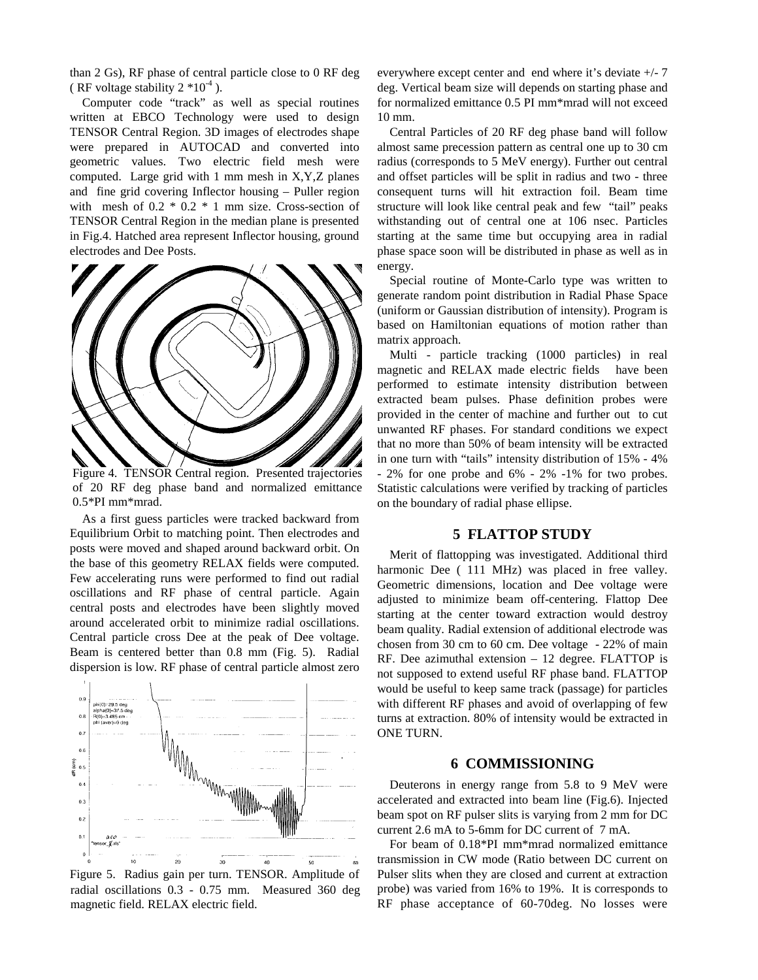than 2 Gs), RF phase of central particle close to 0 RF deg ( RF voltage stability  $2*10^{-4}$  ).

Computer code "track" as well as special routines written at EBCO Technology were used to design TENSOR Central Region. 3D images of electrodes shape were prepared in AUTOCAD and converted into geometric values. Two electric field mesh were computed. Large grid with 1 mm mesh in X,Y,Z planes and fine grid covering Inflector housing – Puller region with mesh of  $0.2 * 0.2 * 1$  mm size. Cross-section of TENSOR Central Region in the median plane is presented in Fig.4. Hatched area represent Inflector housing, ground electrodes and Dee Posts.



Figure 4. TENSOR Central region. Presented trajectories of 20 RF deg phase band and normalized emittance 0.5\*PI mm\*mrad.

As a first guess particles were tracked backward from Equilibrium Orbit to matching point. Then electrodes and posts were moved and shaped around backward orbit. On the base of this geometry RELAX fields were computed. Few accelerating runs were performed to find out radial oscillations and RF phase of central particle. Again central posts and electrodes have been slightly moved around accelerated orbit to minimize radial oscillations. Central particle cross Dee at the peak of Dee voltage. Beam is centered better than 0.8 mm (Fig. 5). Radial dispersion is low. RF phase of central particle almost zero



Figure 5. Radius gain per turn. TENSOR. Amplitude of radial oscillations 0.3 - 0.75 mm. Measured 360 deg magnetic field. RELAX electric field.

everywhere except center and end where it's deviate +/- 7 deg. Vertical beam size will depends on starting phase and for normalized emittance 0.5 PI mm\*mrad will not exceed 10 mm.

Central Particles of 20 RF deg phase band will follow almost same precession pattern as central one up to 30 cm radius (corresponds to 5 MeV energy). Further out central and offset particles will be split in radius and two - three consequent turns will hit extraction foil. Beam time structure will look like central peak and few "tail" peaks withstanding out of central one at 106 nsec. Particles starting at the same time but occupying area in radial phase space soon will be distributed in phase as well as in energy.

Special routine of Monte-Carlo type was written to generate random point distribution in Radial Phase Space (uniform or Gaussian distribution of intensity). Program is based on Hamiltonian equations of motion rather than matrix approach.

Multi - particle tracking (1000 particles) in real magnetic and RELAX made electric fields have been performed to estimate intensity distribution between extracted beam pulses. Phase definition probes were provided in the center of machine and further out to cut unwanted RF phases. For standard conditions we expect that no more than 50% of beam intensity will be extracted in one turn with "tails" intensity distribution of 15% - 4% - 2% for one probe and 6% - 2% -1% for two probes. Statistic calculations were verified by tracking of particles on the boundary of radial phase ellipse.

### **5 FLATTOP STUDY**

Merit of flattopping was investigated. Additional third harmonic Dee ( 111 MHz) was placed in free valley. Geometric dimensions, location and Dee voltage were adjusted to minimize beam off-centering. Flattop Dee starting at the center toward extraction would destroy beam quality. Radial extension of additional electrode was chosen from 30 cm to 60 cm. Dee voltage - 22% of main RF. Dee azimuthal extension – 12 degree. FLATTOP is not supposed to extend useful RF phase band. FLATTOP would be useful to keep same track (passage) for particles with different RF phases and avoid of overlapping of few turns at extraction. 80% of intensity would be extracted in ONE TURN.

#### **6 COMMISSIONING**

Deuterons in energy range from 5.8 to 9 MeV were accelerated and extracted into beam line (Fig.6). Injected beam spot on RF pulser slits is varying from 2 mm for DC current 2.6 mA to 5-6mm for DC current of 7 mA.

For beam of 0.18\*PI mm\*mrad normalized emittance transmission in CW mode (Ratio between DC current on Pulser slits when they are closed and current at extraction probe) was varied from 16% to 19%. It is corresponds to RF phase acceptance of 60-70deg. No losses were